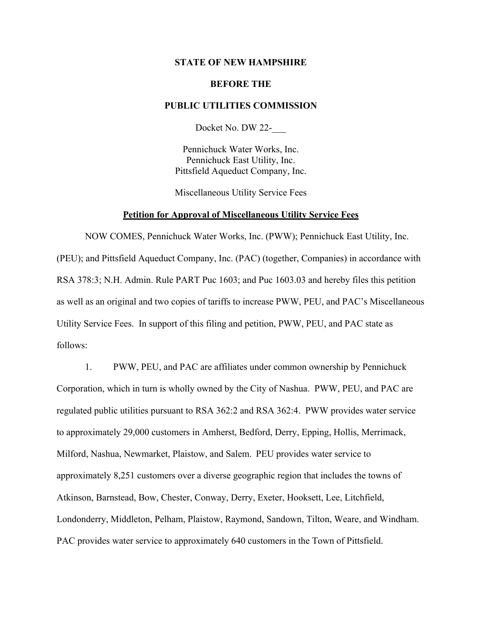# **STATE OF NEW HAMPSHIRE**

## **BEFORE THE**

# **PUBLIC UTILITIES COMMISSION**

Docket No. DW 22-\_\_\_

Pennichuck Water Works, Inc. Pennichuck East Utility, Inc. Pittsfield Aqueduct Company, Inc.

Miscellaneous Utility Service Fees

#### **Petition for Approval of Miscellaneous Utility Service Fees**

NOW COMES, Pennichuck Water Works, Inc. (PWW); Pennichuck East Utility, Inc. (PEU); and Pittsfield Aqueduct Company, Inc. (PAC) (together, Companies) in accordance with RSA 378:3; N.H. Admin. Rule PART Puc 1603; and Puc 1603.03 and hereby files this petition as well as an original and two copies of tariffs to increase PWW, PEU, and PAC's Miscellaneous Utility Service Fees. In support of this filing and petition, PWW, PEU, and PAC state as follows:

1. PWW, PEU, and PAC are affiliates under common ownership by Pennichuck Corporation, which in turn is wholly owned by the City of Nashua. PWW, PEU, and PAC are regulated public utilities pursuant to RSA 362:2 and RSA 362:4. PWW provides water service to approximately 29,000 customers in Amherst, Bedford, Derry, Epping, Hollis, Merrimack, Milford, Nashua, Newmarket, Plaistow, and Salem. PEU provides water service to approximately 8,251 customers over a diverse geographic region that includes the towns of Atkinson, Barnstead, Bow, Chester, Conway, Derry, Exeter, Hooksett, Lee, Litchfield, Londonderry, Middleton, Pelham, Plaistow, Raymond, Sandown, Tilton, Weare, and Windham. PAC provides water service to approximately 640 customers in the Town of Pittsfield.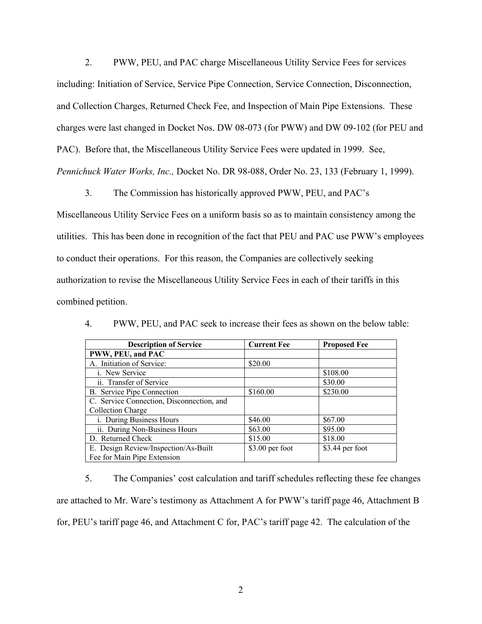2. PWW, PEU, and PAC charge Miscellaneous Utility Service Fees for services including: Initiation of Service, Service Pipe Connection, Service Connection, Disconnection, and Collection Charges, Returned Check Fee, and Inspection of Main Pipe Extensions. These charges were last changed in Docket Nos. DW 08-073 (for PWW) and DW 09-102 (for PEU and PAC). Before that, the Miscellaneous Utility Service Fees were updated in 1999. See, *Pennichuck Water Works, Inc.,* Docket No. DR 98-088, Order No. 23, 133 (February 1, 1999).

3. The Commission has historically approved PWW, PEU, and PAC's

Miscellaneous Utility Service Fees on a uniform basis so as to maintain consistency among the utilities. This has been done in recognition of the fact that PEU and PAC use PWW's employees to conduct their operations. For this reason, the Companies are collectively seeking authorization to revise the Miscellaneous Utility Service Fees in each of their tariffs in this combined petition.

| <b>Description of Service</b>             | <b>Current Fee</b> | <b>Proposed Fee</b> |
|-------------------------------------------|--------------------|---------------------|
| PWW, PEU, and PAC                         |                    |                     |
| A. Initiation of Service:                 | \$20.00            |                     |
| i. New Service                            |                    | \$108.00            |
| ii. Transfer of Service                   |                    | \$30.00             |
| B. Service Pipe Connection                | \$160.00           | \$230.00            |
| C. Service Connection, Disconnection, and |                    |                     |
| Collection Charge                         |                    |                     |
| i. During Business Hours                  | \$46.00            | \$67.00             |
| ii. During Non-Business Hours             | \$63.00            | \$95.00             |
| D. Returned Check                         | \$15.00            | \$18.00             |
| E. Design Review/Inspection/As-Built      | \$3.00 per foot    | \$3.44 per foot     |
| Fee for Main Pipe Extension               |                    |                     |

4. PWW, PEU, and PAC seek to increase their fees as shown on the below table:

5. The Companies' cost calculation and tariff schedules reflecting these fee changes are attached to Mr. Ware's testimony as Attachment A for PWW's tariff page 46, Attachment B for, PEU's tariff page 46, and Attachment C for, PAC's tariff page 42. The calculation of the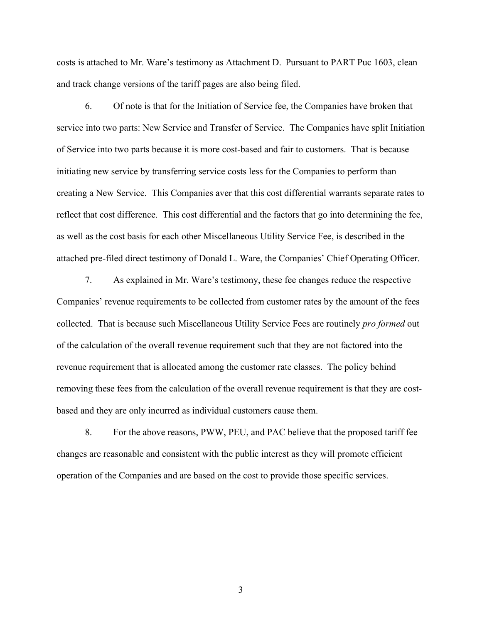costs is attached to Mr. Ware's testimony as Attachment D. Pursuant to PART Puc 1603, clean and track change versions of the tariff pages are also being filed.

6. Of note is that for the Initiation of Service fee, the Companies have broken that service into two parts: New Service and Transfer of Service. The Companies have split Initiation of Service into two parts because it is more cost-based and fair to customers. That is because initiating new service by transferring service costs less for the Companies to perform than creating a New Service. This Companies aver that this cost differential warrants separate rates to reflect that cost difference. This cost differential and the factors that go into determining the fee, as well as the cost basis for each other Miscellaneous Utility Service Fee, is described in the attached pre-filed direct testimony of Donald L. Ware, the Companies' Chief Operating Officer.

7. As explained in Mr. Ware's testimony, these fee changes reduce the respective Companies' revenue requirements to be collected from customer rates by the amount of the fees collected. That is because such Miscellaneous Utility Service Fees are routinely *pro formed* out of the calculation of the overall revenue requirement such that they are not factored into the revenue requirement that is allocated among the customer rate classes. The policy behind removing these fees from the calculation of the overall revenue requirement is that they are costbased and they are only incurred as individual customers cause them.

8. For the above reasons, PWW, PEU, and PAC believe that the proposed tariff fee changes are reasonable and consistent with the public interest as they will promote efficient operation of the Companies and are based on the cost to provide those specific services.

3